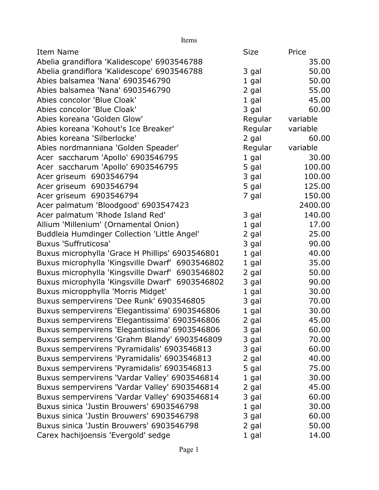| Items                                           |             |          |
|-------------------------------------------------|-------------|----------|
| Item Name                                       | <b>Size</b> | Price    |
| Abelia grandiflora 'Kalidescope' 6903546788     |             | 35.00    |
| Abelia grandiflora 'Kalidescope' 6903546788     | 3 gal       | 50.00    |
| Abies balsamea 'Nana' 6903546790                | 1 gal       | 50.00    |
| Abies balsamea 'Nana' 6903546790                | 2 gal       | 55.00    |
| Abies concolor 'Blue Cloak'                     | $1$ gal     | 45.00    |
| Abies concolor 'Blue Cloak'                     | 3 gal       | 60.00    |
| Abies koreana 'Golden Glow'                     | Regular     | variable |
| Abies koreana 'Kohout's Ice Breaker'            | Regular     | variable |
| Abies koreana 'Silberlocke'                     | 2 gal       | 60.00    |
| Abies nordmanniana 'Golden Speader'             | Regular     | variable |
| Acer saccharum 'Apollo' 6903546795              | 1 gal       | 30.00    |
| Acer saccharum 'Apollo' 6903546795              | 5 gal       | 100.00   |
| Acer griseum 6903546794                         | 3 gal       | 100.00   |
| Acer griseum 6903546794                         | 5 gal       | 125.00   |
| Acer griseum 6903546794                         | 7 gal       | 150.00   |
| Acer palmatum 'Bloodgood' 6903547423            |             | 2400.00  |
| Acer palmatum 'Rhode Island Red'                | 3 gal       | 140.00   |
| Allium 'Millenium' (Ornamental Onion)           | 1 gal       | 17.00    |
| Buddleia Humdinger Collection 'Little Angel'    | 2 gal       | 25.00    |
| <b>Buxus 'Suffruticosa'</b>                     | 3 gal       | 90.00    |
| Buxus microphylla 'Grace H Phillips' 6903546801 | 1 gal       | 40.00    |
| Buxus microphylla 'Kingsville Dwarf' 6903546802 | 1 gal       | 35.00    |
| Buxus microphylla 'Kingsville Dwarf' 6903546802 | 2 gal       | 50.00    |
| Buxus microphylla 'Kingsville Dwarf' 6903546802 | 3 gal       | 90.00    |
| Buxus micropphylla 'Morris Midget'              | 1 gal       | 30.00    |
| Buxus sempervirens 'Dee Runk' 6903546805        | 3 gal       | 70.00    |
| Buxus sempervirens 'Elegantissima' 6903546806   | $1$ gal     | 30.00    |
| Buxus sempervirens 'Elegantissima' 6903546806   | 2 gal       | 45.00    |
| Buxus sempervirens 'Elegantissima' 6903546806   | 3 gal       | 60.00    |
| Buxus sempervirens 'Grahm Blandy' 6903546809    | 3 gal       | 70.00    |
| Buxus sempervirens 'Pyramidalis' 6903546813     | 3 gal       | 60.00    |
| Buxus sempervirens 'Pyramidalis' 6903546813     | 2 gal       | 40.00    |
| Buxus sempervirens 'Pyramidalis' 6903546813     | 5 gal       | 75.00    |
| Buxus sempervirens 'Vardar Valley' 6903546814   | $1$ gal     | 30.00    |
| Buxus sempervirens 'Vardar Valley' 6903546814   | 2 gal       | 45.00    |
| Buxus sempervirens 'Vardar Valley' 6903546814   | 3 gal       | 60.00    |
| Buxus sinica 'Justin Brouwers' 6903546798       | 1 gal       | 30.00    |
| Buxus sinica 'Justin Brouwers' 6903546798       | 3 gal       | 60.00    |
| Buxus sinica 'Justin Brouwers' 6903546798       | 2 gal       | 50.00    |
| Carex hachijoensis 'Evergold' sedge             | 1 gal       | 14.00    |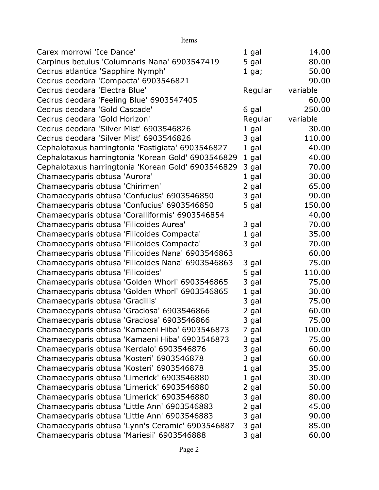| Items                                              |         |          |
|----------------------------------------------------|---------|----------|
| Carex morrowi 'Ice Dance'                          | 1 gal   | 14.00    |
| Carpinus betulus 'Columnaris Nana' 6903547419      | 5 gal   | 80.00    |
| Cedrus atlantica 'Sapphire Nymph'                  | $1$ ga; | 50.00    |
| Cedrus deodara 'Compacta' 6903546821               |         | 90.00    |
| Cedrus deodara 'Electra Blue'                      | Regular | variable |
| Cedrus deodara 'Feeling Blue' 6903547405           |         | 60.00    |
| Cedrus deodara 'Gold Cascade'                      | 6 gal   | 250.00   |
| Cedrus deodara 'Gold Horizon'                      | Regular | variable |
| Cedrus deodara 'Silver Mist' 6903546826            | $1$ gal | 30.00    |
| Cedrus deodara 'Silver Mist' 6903546826            | 3 gal   | 110.00   |
| Cephalotaxus harringtonia 'Fastigiata' 6903546827  | $1$ gal | 40.00    |
| Cephalotaxus harringtonia 'Korean Gold' 6903546829 | 1 gal   | 40.00    |
| Cephalotaxus harringtonia 'Korean Gold' 6903546829 | 3 gal   | 70.00    |
| Chamaecyparis obtusa 'Aurora'                      | 1 gal   | 30.00    |
| Chamaecyparis obtusa 'Chirimen'                    | 2 gal   | 65.00    |
| Chamaecyparis obtusa 'Confucius' 6903546850        | 3 gal   | 90.00    |
| Chamaecyparis obtusa 'Confucius' 6903546850        | 5 gal   | 150.00   |
| Chamaecyparis obtusa 'Coralliformis' 6903546854    |         | 40.00    |
| Chamaecyparis obtusa 'Filicoides Aurea'            | 3 gal   | 70.00    |
| Chamaecyparis obtusa 'Filicoides Compacta'         | 1 gal   | 35.00    |
| Chamaecyparis obtusa 'Filicoides Compacta'         | 3 gal   | 70.00    |
| Chamaecyparis obtusa 'Filicoides Nana' 6903546863  |         | 60.00    |
| Chamaecyparis obtusa 'Filicoides Nana' 6903546863  | 3 gal   | 75.00    |
| Chamaecyparis obtusa 'Filicoides'                  | 5 gal   | 110.00   |
| Chamaecyparis obtusa 'Golden Whorl' 6903546865     | 3 gal   | 75.00    |
| Chamaecyparis obtusa 'Golden Whorl' 6903546865     | 1 gal   | 30.00    |
| Chamaecyparis obtusa 'Gracillis'                   | 3 gal   | 75.00    |
| Chamaecyparis obtusa 'Graciosa' 6903546866         | 2 gal   | 60.00    |
| Chamaecyparis obtusa 'Graciosa' 6903546866         | 3 gal   | 75.00    |
| Chamaecyparis obtusa 'Kamaeni Hiba' 6903546873     | 7 gal   | 100.00   |
| Chamaecyparis obtusa 'Kamaeni Hiba' 6903546873     | 3 gal   | 75.00    |
| Chamaecyparis obtusa 'Kerdalo' 6903546876          | 3 gal   | 60.00    |
| Chamaecyparis obtusa 'Kosteri' 6903546878          | 3 gal   | 60.00    |
| Chamaecyparis obtusa 'Kosteri' 6903546878          | 1 gal   | 35.00    |
| Chamaecyparis obtusa 'Limerick' 6903546880         | $1$ gal | 30.00    |
| Chamaecyparis obtusa 'Limerick' 6903546880         | 2 gal   | 50.00    |
| Chamaecyparis obtusa 'Limerick' 6903546880         | 3 gal   | 80.00    |
| Chamaecyparis obtusa 'Little Ann' 6903546883       | 2 gal   | 45.00    |
| Chamaecyparis obtusa 'Little Ann' 6903546883       | 3 gal   | 90.00    |
| Chamaecyparis obtusa 'Lynn's Ceramic' 6903546887   | 3 gal   | 85.00    |
| Chamaecyparis obtusa 'Mariesii' 6903546888         | 3 gal   | 60.00    |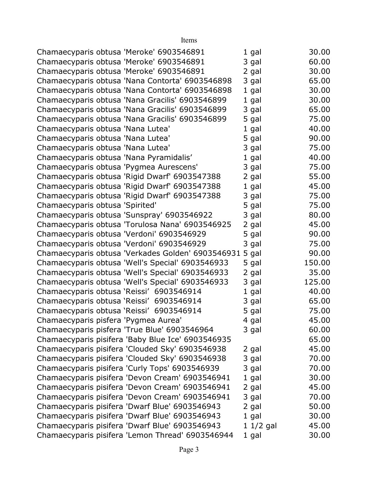| Chamaecyparis obtusa 'Meroke' 6903546891  |                                                   | $1$ gal    | 30.00  |
|-------------------------------------------|---------------------------------------------------|------------|--------|
| Chamaecyparis obtusa 'Meroke' 6903546891  |                                                   | 3 gal      | 60.00  |
| Chamaecyparis obtusa 'Meroke' 6903546891  |                                                   | 2 gal      | 30.00  |
|                                           | Chamaecyparis obtusa 'Nana Contorta' 6903546898   | 3 gal      | 65.00  |
|                                           | Chamaecyparis obtusa 'Nana Contorta' 6903546898   | $1$ gal    | 30.00  |
|                                           | Chamaecyparis obtusa 'Nana Gracilis' 6903546899   | $1$ gal    | 30.00  |
|                                           | Chamaecyparis obtusa 'Nana Gracilis' 6903546899   | 3 gal      | 65.00  |
|                                           | Chamaecyparis obtusa 'Nana Gracilis' 6903546899   | 5 gal      | 75.00  |
| Chamaecyparis obtusa 'Nana Lutea'         |                                                   | 1 gal      | 40.00  |
| Chamaecyparis obtusa 'Nana Lutea'         |                                                   | 5 gal      | 90.00  |
| Chamaecyparis obtusa 'Nana Lutea'         |                                                   | 3 gal      | 75.00  |
| Chamaecyparis obtusa 'Nana Pyramidalis'   |                                                   | 1 gal      | 40.00  |
| Chamaecyparis obtusa 'Pygmea Aurescens'   |                                                   | 3 gal      | 75.00  |
|                                           | Chamaecyparis obtusa 'Rigid Dwarf' 6903547388     | 2 gal      | 55.00  |
|                                           | Chamaecyparis obtusa 'Rigid Dwarf' 6903547388     | $1$ gal    | 45.00  |
|                                           | Chamaecyparis obtusa 'Rigid Dwarf' 6903547388     | 3 gal      | 75.00  |
| Chamaecyparis obtusa 'Spirited'           |                                                   | 5 gal      | 75.00  |
|                                           | Chamaecyparis obtusa 'Sunspray' 6903546922        | 3 gal      | 80.00  |
|                                           | Chamaecyparis obtusa 'Torulosa Nana' 6903546925   | 2 gal      | 45.00  |
| Chamaecyparis obtusa 'Verdoni' 6903546929 |                                                   | 5 gal      | 90.00  |
| Chamaecyparis obtusa 'Verdoni' 6903546929 |                                                   | 3 gal      | 75.00  |
|                                           | Chamaecyparis obtusa 'Verkades Golden' 6903546931 | 5 gal      | 90.00  |
|                                           | Chamaecyparis obtusa 'Well's Special' 6903546933  | 5 gal      | 150.00 |
|                                           | Chamaecyparis obtusa 'Well's Special' 6903546933  | 2 gal      | 35.00  |
|                                           | Chamaecyparis obtusa 'Well's Special' 6903546933  | 3 gal      | 125.00 |
| Chamaecyparis obtusa 'Reissi' 6903546914  |                                                   | $1$ gal    | 40.00  |
| Chamaecyparis obtusa 'Reissi' 6903546914  |                                                   | 3 gal      | 65.00  |
| Chamaecyparis obtusa 'Reissi' 6903546914  |                                                   | 5 gal      | 75.00  |
| Chamaecyparis pisfera 'Pygmea Aurea'      |                                                   | 4 gal      | 45.00  |
|                                           | Chamaecyparis pisfera 'True Blue' 6903546964      | 3 gal      | 60.00  |
|                                           | Chamaecyparis pisifera 'Baby Blue Ice' 6903546935 |            | 65.00  |
|                                           | Chamaecyparis pisifera 'Clouded Sky' 6903546938   | 2 gal      | 45.00  |
|                                           | Chamaecyparis pisifera 'Clouded Sky' 6903546938   | 3 gal      | 70.00  |
|                                           | Chamaecyparis pisifera 'Curly Tops' 6903546939    | 3 gal      | 70.00  |
|                                           | Chamaecyparis pisifera 'Devon Cream' 6903546941   | $1$ gal    | 30.00  |
|                                           | Chamaecyparis pisifera 'Devon Cream' 6903546941   | 2 gal      | 45.00  |
|                                           | Chamaecyparis pisifera 'Devon Cream' 6903546941   | 3 gal      | 70.00  |
|                                           | Chamaecyparis pisifera 'Dwarf Blue' 6903546943    | 2 gal      | 50.00  |
|                                           | Chamaecyparis pisifera 'Dwarf Blue' 6903546943    | $1$ gal    | 30.00  |
|                                           | Chamaecyparis pisifera 'Dwarf Blue' 6903546943    | $11/2$ gal | 45.00  |
|                                           | Chamaecyparis pisifera 'Lemon Thread' 6903546944  | 1 gal      | 30.00  |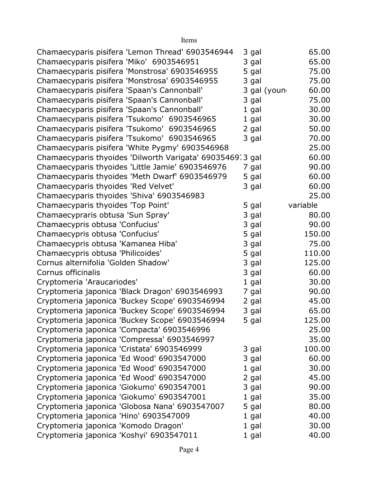| Chamaecyparis pisifera 'Lemon Thread' 6903546944          | 3 gal   |              | 65.00    |
|-----------------------------------------------------------|---------|--------------|----------|
| Chamaecyparis pisifera 'Miko' 6903546951                  | 3 gal   |              | 65.00    |
| Chamaecyparis pisifera 'Monstrosa' 6903546955             | 5 gal   |              | 75.00    |
| Chamaecyparis pisifera 'Monstrosa' 6903546955             | 3 gal   |              | 75.00    |
| Chamaecyparis pisifera 'Spaan's Cannonball'               |         | 3 gal (young | 60.00    |
| Chamaecyparis pisifera 'Spaan's Cannonball'               | 3 gal   |              | 75.00    |
| Chamaecyparis pisifera 'Spaan's Cannonball'               | 1 gal   |              | 30.00    |
| Chamaecyparis pisifera 'Tsukomo' 6903546965               | 1 gal   |              | 30.00    |
| Chamaecyparis pisifera 'Tsukomo' 6903546965               | 2 gal   |              | 50.00    |
| Chamaecyparis pisifera 'Tsukomo' 6903546965               | 3 gal   |              | 70.00    |
| Chamaecyparis pisifera 'White Pygmy' 6903546968           |         |              | 25.00    |
| Chamaecyparis thyoides 'Dilworth Varigata' 69035469.3 gal |         |              | 60.00    |
| Chamaecyparis thyoides 'Little Jamie' 6903546976          | 7 gal   |              | 90.00    |
| Chamaecyparis thyoides 'Meth Dwarf' 6903546979            | 5 gal   |              | 60.00    |
| Chamaecyparis thyoides 'Red Velvet'                       | 3 gal   |              | 60.00    |
| Chamaecyparis thyoides 'Shiva' 6903546983                 |         |              | 25.00    |
| Chamaecyparis thyoides 'Top Point'                        | 5 gal   |              | variable |
| Chamaecypraris obtusa 'Sun Spray'                         | 3 gal   |              | 80.00    |
| Chamaecypris obtusa 'Confucius'                           | 3 gal   |              | 90.00    |
| Chamaecypris obtusa 'Confucius'                           | 5 gal   |              | 150.00   |
| Chamaecypris obtusa 'Kamanea Hiba'                        | 3 gal   |              | 75.00    |
| Chamaecypris obtusa 'Philicoides'                         | 5 gal   |              | 110.00   |
| Cornus alternifolia 'Golden Shadow'                       | 3 gal   |              | 125.00   |
| Cornus officinalis                                        | 3 gal   |              | 60.00    |
| Cryptomeria 'Araucariodes'                                | 1 gal   |              | 30.00    |
| Cryptomeria japonica 'Black Dragon' 6903546993            | 7 gal   |              | 90.00    |
| Cryptomeria japonica 'Buckey Scope' 6903546994            | 2 gal   |              | 45.00    |
| Cryptomeria japonica 'Buckey Scope' 6903546994            | 3 gal   |              | 65.00    |
| Cryptomeria japonica 'Buckey Scope' 6903546994            | 5 gal   |              | 125.00   |
| Cryptomeria japonica 'Compacta' 6903546996                |         |              | 25.00    |
| Cryptomeria japonica 'Compressa' 6903546997               |         |              | 35.00    |
| Cryptomeria japonica 'Cristata' 6903546999                | 3 gal   |              | 100.00   |
| Cryptomeria japonica 'Ed Wood' 6903547000                 | 3 gal   |              | 60.00    |
| Cryptomeria japonica 'Ed Wood' 6903547000                 | 1 gal   |              | 30.00    |
| Cryptomeria japonica 'Ed Wood' 6903547000                 | 2 gal   |              | 45.00    |
| Cryptomeria japonica 'Giokumo' 6903547001                 | 3 gal   |              | 90.00    |
| Cryptomeria japonica 'Giokumo' 6903547001                 | $1$ gal |              | 35.00    |
| Cryptomeria japonica 'Globosa Nana' 6903547007            | 5 gal   |              | 80.00    |
| Cryptomeria japonica 'Hino' 6903547009                    | 1 gal   |              | 40.00    |
| Cryptomeria japonica 'Komodo Dragon'                      | 1 gal   |              | 30.00    |
| Cryptomeria japonica 'Koshyi' 6903547011                  | 1 gal   |              | 40.00    |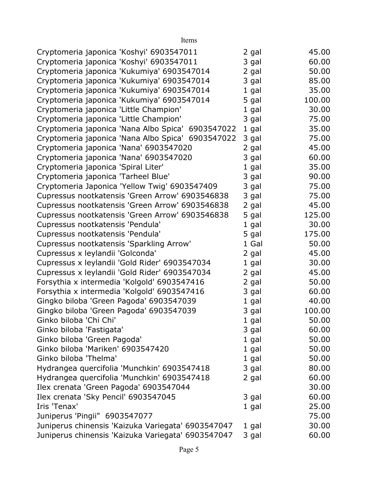| Items                                              |         |        |
|----------------------------------------------------|---------|--------|
| Cryptomeria japonica 'Koshyi' 6903547011           | 2 gal   | 45.00  |
| Cryptomeria japonica 'Koshyi' 6903547011           | 3 gal   | 60.00  |
| Cryptomeria japonica 'Kukumiya' 6903547014         | 2 gal   | 50.00  |
| Cryptomeria japonica 'Kukumiya' 6903547014         | 3 gal   | 85.00  |
| Cryptomeria japonica 'Kukumiya' 6903547014         | 1 gal   | 35.00  |
| Cryptomeria japonica 'Kukumiya' 6903547014         | 5 gal   | 100.00 |
| Cryptomeria japonica 'Little Champion'             | 1 gal   | 30.00  |
| Cryptomeria japonica 'Little Champion'             | 3 gal   | 75.00  |
| Cryptomeria japonica 'Nana Albo Spica' 6903547022  | 1 gal   | 35.00  |
| Cryptomeria japonica 'Nana Albo Spica' 6903547022  | 3 gal   | 75.00  |
| Cryptomeria japonica 'Nana' 6903547020             | 2 gal   | 45.00  |
| Cryptomeria japonica 'Nana' 6903547020             | 3 gal   | 60.00  |
| Cryptomeria japonica 'Spiral Liter'                | 1 gal   | 35.00  |
| Cryptomeria japonica 'Tarheel Blue'                | 3 gal   | 90.00  |
| Cryptomeria Japonica 'Yellow Twig' 6903547409      | 3 gal   | 75.00  |
| Cupressus nootkatensis 'Green Arrow' 6903546838    | 3 gal   | 75.00  |
| Cupressus nootkatensis 'Green Arrow' 6903546838    | 2 gal   | 45.00  |
| Cupressus nootkatensis 'Green Arrow' 6903546838    | 5 gal   | 125.00 |
| Cupressus nootkatensis 'Pendula'                   | 1 gal   | 30.00  |
| Cupressus nootkatensis 'Pendula'                   | 5 gal   | 175.00 |
| Cupressus nootkatensis 'Sparkling Arrow'           | 1 Gal   | 50.00  |
| Cupressus x leylandii 'Golconda'                   | 2 gal   | 45.00  |
| Cupressus x leylandii 'Gold Rider' 6903547034      | $1$ gal | 30.00  |
| Cupressus x leylandii 'Gold Rider' 6903547034      | 2 gal   | 45.00  |
| Forsythia x intermedia 'Kolgold' 6903547416        | 2 gal   | 50.00  |
| Forsythia x intermedia 'Kolgold' 6903547416        | 3 gal   | 60.00  |
| Gingko biloba 'Green Pagoda' 6903547039            | 1 gal   | 40.00  |
| Gingko biloba 'Green Pagoda' 6903547039            | 3 gal   | 100.00 |
| Ginko biloba 'Chi Chi'                             | 1 gal   | 50.00  |
| Ginko biloba 'Fastigata'                           | 3 gal   | 60.00  |
| Ginko biloba 'Green Pagoda'                        | 1 gal   | 50.00  |
| Ginko biloba 'Mariken' 6903547420                  | 1 gal   | 50.00  |
| Ginko biloba 'Thelma'                              | 1 gal   | 50.00  |
| Hydrangea quercifolia 'Munchkin' 6903547418        | 3 gal   | 80.00  |
| Hydrangea quercifolia 'Munchkin' 6903547418        | 2 gal   | 60.00  |
| Ilex crenata 'Green Pagoda' 6903547044             |         | 30.00  |
| Ilex crenata 'Sky Pencil' 6903547045               | 3 gal   | 60.00  |
| Iris 'Tenax'                                       | 1 gal   | 25.00  |
| Juniperus 'Pingii" 6903547077                      |         | 75.00  |
| Juniperus chinensis 'Kaizuka Variegata' 6903547047 | 1 gal   | 30.00  |
| Juniperus chinensis 'Kaizuka Variegata' 6903547047 | 3 gal   | 60.00  |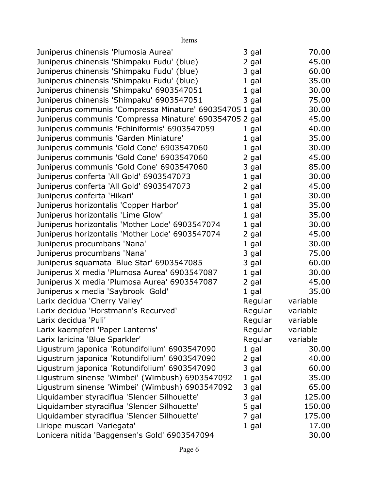| Juniperus chinensis 'Plumosia Aurea'                    | 3 gal   |          | 70.00  |
|---------------------------------------------------------|---------|----------|--------|
| Juniperus chinensis 'Shimpaku Fudu' (blue)              | 2 gal   |          | 45.00  |
| Juniperus chinensis 'Shimpaku Fudu' (blue)              | 3 gal   |          | 60.00  |
| Juniperus chinensis 'Shimpaku Fudu' (blue)              | $1$ gal |          | 35.00  |
| Juniperus chinensis 'Shimpaku' 6903547051               | $1$ gal |          | 30.00  |
| Juniperus chinensis 'Shimpaku' 6903547051               | 3 gal   |          | 75.00  |
| Juniperus communis 'Compressa Minature' 690354705 1 gal |         |          | 30.00  |
| Juniperus communis 'Compressa Minature' 690354705 2 gal |         |          | 45.00  |
| Juniperus communis 'Echiniformis' 6903547059            | 1 gal   |          | 40.00  |
| Juniperus communis 'Garden Miniature'                   | $1$ gal |          | 35.00  |
| Juniperus communis 'Gold Cone' 6903547060               | $1$ gal |          | 30.00  |
| Juniperus communis 'Gold Cone' 6903547060               | 2 gal   |          | 45.00  |
| Juniperus communis 'Gold Cone' 6903547060               | 3 gal   |          | 85.00  |
| Juniperus conferta 'All Gold' 6903547073                | $1$ gal |          | 30.00  |
| Juniperus conferta 'All Gold' 6903547073                | 2 gal   |          | 45.00  |
| Juniperus conferta 'Hikari'                             | 1 gal   |          | 30.00  |
| Juniperus horizontalis 'Copper Harbor'                  | $1$ gal |          | 35.00  |
| Juniperus horizontalis 'Lime Glow'                      | $1$ gal |          | 35.00  |
| Juniperus horizontalis 'Mother Lode' 6903547074         | $1$ gal |          | 30.00  |
| Juniperus horizontalis 'Mother Lode' 6903547074         | 2 gal   |          | 45.00  |
| Juniperus procumbans 'Nana'                             | $1$ gal |          | 30.00  |
| Juniperus procumbans 'Nana'                             | 3 gal   |          | 75.00  |
| Juniperus squamata 'Blue Star' 6903547085               | 3 gal   |          | 60.00  |
| Juniperus X media 'Plumosa Aurea' 6903547087            | $1$ gal |          | 30.00  |
| Juniperus X media 'Plumosa Aurea' 6903547087            | 2 gal   |          | 45.00  |
| Juniperus x media 'Saybrook Gold'                       | 1 gal   |          | 35.00  |
| Larix decidua 'Cherry Valley'                           | Regular | variable |        |
| Larix decidua 'Horstmann's Recurved'                    | Regular | variable |        |
| Larix decidua 'Puli'                                    | Regular | variable |        |
| Larix kaempferi 'Paper Lanterns'                        | Regular | variable |        |
| Larix laricina 'Blue Sparkler'                          | Regular | variable |        |
| Ligustrum japonica 'Rotundifolium' 6903547090           | $1$ gal |          | 30.00  |
| Ligustrum japonica 'Rotundifolium' 6903547090           | 2 gal   |          | 40.00  |
| Ligustrum japonica 'Rotundifolium' 6903547090           | 3 gal   |          | 60.00  |
| Ligustrum sinense 'Wimbei' (Wimbush) 6903547092         | $1$ gal |          | 35.00  |
| Ligustrum sinense 'Wimbei' (Wimbush) 6903547092         | 3 gal   |          | 65.00  |
| Liquidamber styraciflua 'Slender Silhouette'            | 3 gal   |          | 125.00 |
| Liquidamber styraciflua 'Slender Silhouette'            | 5 gal   |          | 150.00 |
| Liquidamber styraciflua 'Slender Silhouette'            | 7 gal   |          | 175.00 |
| Liriope muscari 'Variegata'                             | 1 gal   |          | 17.00  |
| Lonicera nitida 'Baggensen's Gold' 6903547094           |         |          | 30.00  |

Items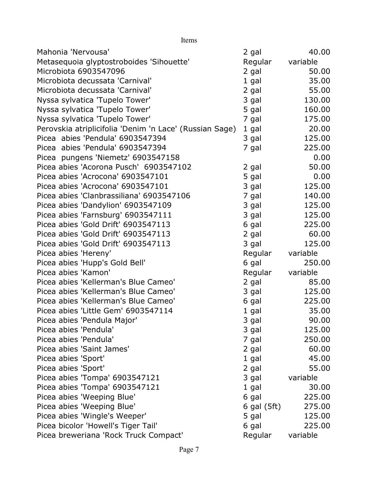| Items                                                   |                 |          |
|---------------------------------------------------------|-----------------|----------|
| Mahonia 'Nervousa'                                      | 2 gal           | 40.00    |
| Metasequoia glyptostroboides 'Sihouette'                | Regular         | variable |
| Microbiota 6903547096                                   | 2 gal           | 50.00    |
| Microbiota decussata 'Carnival'                         | 1 gal           | 35.00    |
| Microbiota decussata 'Carnival'                         | 2 gal           | 55.00    |
| Nyssa sylvatica 'Tupelo Tower'                          | 3 gal           | 130.00   |
| Nyssa sylvatica 'Tupelo Tower'                          | 5 gal           | 160.00   |
| Nyssa sylvatica 'Tupelo Tower'                          | 7 gal           | 175.00   |
| Perovskia atriplicifolia 'Denim 'n Lace' (Russian Sage) | 1 gal           | 20.00    |
| Picea abies 'Pendula' 6903547394                        | 3 gal           | 125.00   |
| Picea abies 'Pendula' 6903547394                        | 7 gal           | 225.00   |
| Picea pungens 'Niemetz' 6903547158                      |                 | 0.00     |
| Picea abies 'Acorona Pusch' 6903547102                  | 2 gal           | 50.00    |
| Picea abies 'Acrocona' 6903547101                       | 5 gal           | 0.00     |
| Picea abies 'Acrocona' 6903547101                       | 3 gal           | 125.00   |
| Picea abies 'Clanbrassiliana' 6903547106                | 7 gal           | 140.00   |
| Picea abies 'Dandylion' 6903547109                      | 3 gal           | 125.00   |
| Picea abies 'Farnsburg' 6903547111                      | 3 gal           | 125.00   |
| Picea abies 'Gold Drift' 6903547113                     | 6 gal           | 225.00   |
| Picea abies 'Gold Drift' 6903547113                     | 2 gal           | 60.00    |
| Picea abies 'Gold Drift' 6903547113                     | 3 gal           | 125.00   |
| Picea abies 'Hereny'                                    | Regular         | variable |
| Picea abies 'Hupp's Gold Bell'                          | 6 gal           | 250.00   |
| Picea abies 'Kamon'                                     | Regular         | variable |
| Picea abies 'Kellerman's Blue Cameo'                    | 2 gal           | 85.00    |
| Picea abies 'Kellerman's Blue Cameo'                    | 3 gal           | 125.00   |
| Picea abies 'Kellerman's Blue Cameo'                    | 6 gal           | 225.00   |
| Picea abies 'Little Gem' 6903547114                     | $1$ gal         | 35.00    |
| Picea abies 'Pendula Major'                             | 3 gal           | 90.00    |
| Picea abies 'Pendula'                                   | 3 gal           | 125.00   |
| Picea abies 'Pendula'                                   | 7 gal           | 250.00   |
| Picea abies 'Saint James'                               | 2 gal           | 60.00    |
| Picea abies 'Sport'                                     | 1 gal           | 45.00    |
| Picea abies 'Sport'                                     | 2 gal           | 55.00    |
| Picea abies 'Tompa' 6903547121                          | 3 gal           | variable |
| Picea abies 'Tompa' 6903547121                          | 1 gal           | 30.00    |
| Picea abies 'Weeping Blue'                              | 6 gal           | 225.00   |
| Picea abies 'Weeping Blue'                              | $6$ gal $(5ft)$ | 275.00   |
| Picea abies 'Wingle's Weeper'                           | 5 gal           | 125.00   |
| Picea bicolor 'Howell's Tiger Tail'                     | 6 gal           | 225.00   |
| Picea breweriana 'Rock Truck Compact'                   | Regular         | variable |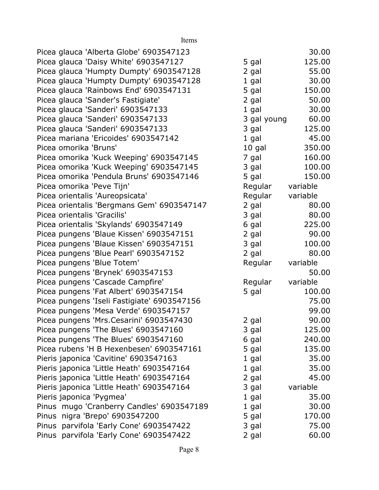| Items                                       |             |          |
|---------------------------------------------|-------------|----------|
| Picea glauca 'Alberta Globe' 6903547123     |             | 30.00    |
| Picea glauca 'Daisy White' 6903547127       | 5 gal       | 125.00   |
| Picea glauca 'Humpty Dumpty' 6903547128     | 2 gal       | 55.00    |
| Picea glauca 'Humpty Dumpty' 6903547128     | $1$ gal     | 30.00    |
| Picea glauca 'Rainbows End' 6903547131      | 5 gal       | 150.00   |
| Picea glauca 'Sander's Fastigiate'          | 2 gal       | 50.00    |
| Picea glauca 'Sanderi' 6903547133           | $1$ gal     | 30.00    |
| Picea glauca 'Sanderi' 6903547133           | 3 gal young | 60.00    |
| Picea glauca 'Sanderi' 6903547133           | 3 gal       | 125.00   |
| Picea mariana 'Ericoides' 6903547142        | $1$ gal     | 45.00    |
| Picea omorika 'Bruns'                       | 10 gal      | 350.00   |
| Picea omorika 'Kuck Weeping' 6903547145     | 7 gal       | 160.00   |
| Picea omorika 'Kuck Weeping' 6903547145     | 3 gal       | 100.00   |
| Picea omorika 'Pendula Bruns' 6903547146    | 5 gal       | 150.00   |
| Picea omorika 'Peve Tijn'                   | Regular     | variable |
| Picea orientalis 'Aureopsicata'             | Regular     | variable |
| Picea orientalis 'Bergmans Gem' 6903547147  | 2 gal       | 80.00    |
| Picea orientalis 'Gracilis'                 | 3 gal       | 80.00    |
| Picea orientalis 'Skylands' 6903547149      | 6 gal       | 225.00   |
| Picea pungens 'Blaue Kissen' 6903547151     | 2 gal       | 90.00    |
| Picea pungens 'Blaue Kissen' 6903547151     | 3 gal       | 100.00   |
| Picea pungens 'Blue Pearl' 6903547152       | 2 gal       | 80.00    |
| Picea pungens 'Blue Totem'                  | Regular     | variable |
| Picea pungens 'Brynek' 6903547153           |             | 50.00    |
| Picea pungens 'Cascade Campfire'            | Regular     | variable |
| Picea pungens 'Fat Albert' 6903547154       | 5 gal       | 100.00   |
| Picea pungens 'Iseli Fastigiate' 6903547156 |             | 75.00    |
| Picea pungens 'Mesa Verde' 6903547157       |             | 99.00    |
| Picea pungens 'Mrs. Cesarini' 6903547430    | 2 gal       | 90.00    |
| Picea pungens 'The Blues' 6903547160        | 3 gal       | 125.00   |
| Picea pungens 'The Blues' 6903547160        | 6 gal       | 240.00   |
| Picea rubens 'H B Hexenbesen' 6903547161    | 5 gal       | 135.00   |
| Pieris japonica 'Cavitine' 6903547163       | $1$ gal     | 35.00    |
| Pieris japonica 'Little Heath' 6903547164   | 1 gal       | 35.00    |
| Pieris japonica 'Little Heath' 6903547164   | 2 gal       | 45.00    |
| Pieris japonica 'Little Heath' 6903547164   | 3 gal       | variable |
| Pieris japonica 'Pygmea'                    | 1 gal       | 35.00    |
| Pinus mugo 'Cranberry Candles' 6903547189   | 1 gal       | 30.00    |
| Pinus nigra 'Brepo' 6903547200              | 5 gal       | 170.00   |
| Pinus parvifola 'Early Cone' 6903547422     | 3 gal       | 75.00    |
| Pinus parvifola 'Early Cone' 6903547422     | 2 gal       | 60.00    |

## Page 8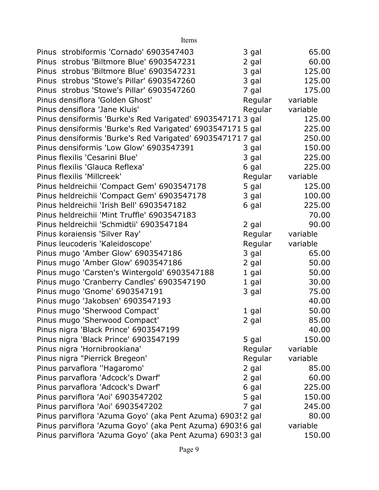| Items                                                      |         |          |
|------------------------------------------------------------|---------|----------|
| Pinus strobiformis 'Cornado' 6903547403                    | 3 gal   | 65.00    |
| Pinus strobus 'Biltmore Blue' 6903547231                   | 2 gal   | 60.00    |
| Pinus strobus 'Biltmore Blue' 6903547231                   | 3 gal   | 125.00   |
| Pinus strobus 'Stowe's Pillar' 6903547260                  | 3 gal   | 125.00   |
| Pinus strobus 'Stowe's Pillar' 6903547260                  | 7 gal   | 175.00   |
| Pinus densiflora 'Golden Ghost'                            | Regular | variable |
| Pinus densiflora 'Jane Kluis'                              | Regular | variable |
| Pinus densiformis 'Burke's Red Varigated' 6903547171 3 gal |         | 125.00   |
| Pinus densiformis 'Burke's Red Varigated' 6903547171 5 gal |         | 225.00   |
| Pinus densiformis 'Burke's Red Varigated' 6903547171 7 gal |         | 250.00   |
| Pinus densiformis 'Low Glow' 6903547391                    | 3 gal   | 150.00   |
| Pinus flexilis 'Cesarini Blue'                             | 3 gal   | 225.00   |
| Pinus flexilis 'Glauca Reflexa'                            | 6 gal   | 225.00   |
| Pinus flexilis 'Millcreek'                                 | Regular | variable |
| Pinus heldreichii 'Compact Gem' 6903547178                 | 5 gal   | 125.00   |
| Pinus heldreichii 'Compact Gem' 6903547178                 | 3 gal   | 100.00   |
| Pinus heldreichii 'Irish Bell' 6903547182                  | 6 gal   | 225.00   |
| Pinus heldreichii 'Mint Truffle' 6903547183                |         | 70.00    |
| Pinus heldreichii 'Schmidtii' 6903547184                   | 2 gal   | 90.00    |
| Pinus koraiensis 'Silver Ray'                              | Regular | variable |
| Pinus leucoderis 'Kaleidoscope'                            | Regular | variable |
| Pinus mugo 'Amber Glow' 6903547186                         | 3 gal   | 65.00    |
| Pinus mugo 'Amber Glow' 6903547186                         | 2 gal   | 50.00    |
| Pinus mugo 'Carsten's Wintergold' 6903547188               | $1$ gal | 50.00    |
| Pinus mugo 'Cranberry Candles' 6903547190                  | $1$ gal | 30.00    |
| Pinus mugo 'Gnome' 6903547191                              | 3 gal   | 75.00    |
| Pinus mugo 'Jakobsen' 6903547193                           |         | 40.00    |
| Pinus mugo 'Sherwood Compact'                              | 1 gal   | 50.00    |
| Pinus mugo 'Sherwood Compact'                              | 2 gal   | 85.00    |
| Pinus nigra 'Black Prince' 6903547199                      |         | 40.00    |
| Pinus nigra 'Black Prince' 6903547199                      | 5 gal   | 150.00   |
| Pinus nigra 'Hornibrookiana'                               | Regular | variable |
| Pinus nigra "Pierrick Bregeon'                             | Regular | variable |
| Pinus parvaflora "Hagaromo"                                | 2 gal   | 85.00    |
| Pinus parvaflora 'Adcock's Dwarf'                          | 2 gal   | 60.00    |
| Pinus parvaflora 'Adcock's Dwarf'                          | 6 gal   | 225.00   |
| Pinus parviflora 'Aoi' 6903547202                          | 5 gal   | 150.00   |
| Pinus parviflora 'Aoi' 6903547202                          | 7 gal   | 245.00   |
| Pinus parviflora 'Azuma Goyo' (aka Pent Azuma) 6903! 2 gal |         | 80.00    |
| Pinus parviflora 'Azuma Goyo' (aka Pent Azuma) 6903! 6 gal |         | variable |
| Pinus parviflora 'Azuma Goyo' (aka Pent Azuma) 6903! 3 gal |         | 150.00   |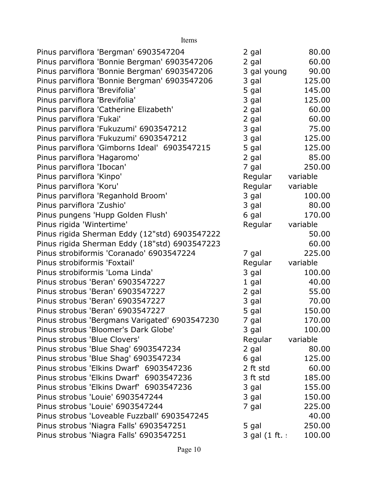| Pinus parviflora 'Bergman' 6903547204         | 2 gal          | 80.00    |
|-----------------------------------------------|----------------|----------|
| Pinus parviflora 'Bonnie Bergman' 6903547206  | 2 gal          | 60.00    |
| Pinus parviflora 'Bonnie Bergman' 6903547206  | 3 gal young    | 90.00    |
| Pinus parviflora 'Bonnie Bergman' 6903547206  | 3 gal          | 125.00   |
| Pinus parviflora 'Brevifolia'                 | 5 gal          | 145.00   |
| Pinus parviflora 'Brevifolia'                 | 3 gal          | 125.00   |
| Pinus parviflora 'Catherine Elizabeth'        | 2 gal          | 60.00    |
| Pinus parviflora 'Fukai'                      | 2 gal          | 60.00    |
| Pinus parviflora 'Fukuzumi' 6903547212        | 3 gal          | 75.00    |
| Pinus parviflora 'Fukuzumi' 6903547212        | 3 gal          | 125.00   |
| Pinus parviflora 'Gimborns Ideal' 6903547215  | 5 gal          | 125.00   |
| Pinus parviflora 'Hagaromo'                   | 2 gal          | 85.00    |
| Pinus parviflora 'Ibocan'                     | 7 gal          | 250.00   |
| Pinus parviflora 'Kinpo'                      | Regular        | variable |
| Pinus parviflora 'Koru'                       | Regular        | variable |
| Pinus parviflora 'Reganhold Broom'            | 3 gal          | 100.00   |
| Pinus parviflora 'Zushio'                     | 3 gal          | 80.00    |
| Pinus pungens 'Hupp Golden Flush'             | 6 gal          | 170.00   |
| Pinus rigida 'Wintertime'                     | Regular        | variable |
| Pinus rigida Sherman Eddy (12"std) 6903547222 |                | 50.00    |
| Pinus rigida Sherman Eddy (18"std) 6903547223 |                | 60.00    |
| Pinus strobiformis 'Coranado' 6903547224      | 7 gal          | 225.00   |
| Pinus strobiformis 'Foxtail'                  | Regular        | variable |
| Pinus strobiformis 'Loma Linda'               | 3 gal          | 100.00   |
| Pinus strobus 'Beran' 6903547227              | 1 gal          | 40.00    |
| Pinus strobus 'Beran' 6903547227              | 2 gal          | 55.00    |
| Pinus strobus 'Beran' 6903547227              | 3 gal          | 70.00    |
| Pinus strobus 'Beran' 6903547227              | 5 gal          | 150.00   |
| Pinus strobus 'Bergmans Varigated' 6903547230 | 7 gal          | 170.00   |
| Pinus strobus 'Bloomer's Dark Globe'          | 3 gal          | 100.00   |
| Pinus strobus 'Blue Clovers'                  | Regular        | variable |
| Pinus strobus 'Blue Shag' 6903547234          | 2 gal          | 80.00    |
| Pinus strobus 'Blue Shag' 6903547234          | 6 gal          | 125.00   |
| Pinus strobus 'Elkins Dwarf' 6903547236       | 2 ft std       | 60.00    |
| Pinus strobus 'Elkins Dwarf' 6903547236       | 3 ft std       | 185.00   |
| Pinus strobus 'Elkins Dwarf' 6903547236       | 3 gal          | 155.00   |
| Pinus strobus 'Louie' 6903547244              | 3 gal          | 150.00   |
| Pinus strobus 'Louie' 6903547244              | 7 gal          | 225.00   |
| Pinus strobus 'Loveable Fuzzball' 6903547245  |                | 40.00    |
| Pinus strobus 'Niagra Falls' 6903547251       | 5 gal          | 250.00   |
| Pinus strobus 'Niagra Falls' 6903547251       | 3 gal (1 ft. : | 100.00   |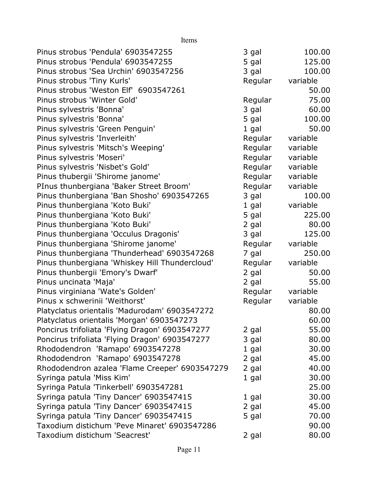Items

| Pinus strobus 'Pendula' 6903547255             | 3 gal   | 100.00   |
|------------------------------------------------|---------|----------|
| Pinus strobus 'Pendula' 6903547255             | 5 gal   | 125.00   |
| Pinus strobus 'Sea Urchin' 6903547256          | 3 gal   | 100.00   |
| Pinus strobus 'Tiny Kurls'                     | Regular | variable |
| Pinus strobus 'Weston Elf' 6903547261          |         | 50.00    |
| Pinus strobus 'Winter Gold'                    | Regular | 75.00    |
| Pinus sylvestris 'Bonna'                       | 3 gal   | 60.00    |
| Pinus sylvestris 'Bonna'                       | 5 gal   | 100.00   |
| Pinus sylvestris 'Green Penguin'               | 1 gal   | 50.00    |
| Pinus sylvestris 'Inverleith'                  | Regular | variable |
| Pinus sylvestris 'Mitsch's Weeping'            | Regular | variable |
| Pinus sylvestris 'Moseri'                      | Regular | variable |
| Pinus sylvestris 'Nisbet's Gold'               | Regular | variable |
| Pinus thubergii 'Shirome janome'               | Regular | variable |
| PInus thunbergiana 'Baker Street Broom'        | Regular | variable |
| Pinus thunbergiana 'Ban Shosho' 6903547265     | 3 gal   | 100.00   |
| Pinus thunbergiana 'Koto Buki'                 | 1 gal   | variable |
| Pinus thunbergiana 'Koto Buki'                 | 5 gal   | 225.00   |
| Pinus thunbergiana 'Koto Buki'                 | 2 gal   | 80.00    |
| Pinus thunbergiana 'Occulus Dragonis'          | 3 gal   | 125.00   |
| Pinus thunbergiana 'Shirome janome'            | Regular | variable |
| Pinus thunbergiana 'Thunderhead' 6903547268    | 7 gal   | 250.00   |
| Pinus thunbergiana 'Whiskey Hill Thundercloud' | Regular | variable |
| Pinus thunbergii 'Emory's Dwarf'               | 2 gal   | 50.00    |
| Pinus uncinata 'Maja'                          | 2 gal   | 55.00    |
| Pinus virginiana 'Wate's Golden'               | Regular | variable |
| Pinus x schwerinii 'Weithorst'                 | Regular | variable |
| Platyclatus orientalis 'Madurodam' 6903547272  |         | 80.00    |
| Platyclatus orientalis 'Morgan' 6903547273     |         | 60.00    |
| Poncirus trifoliata 'Flying Dragon' 6903547277 | 2 gal   | 55.00    |
| Poncirus trifoliata 'Flying Dragon' 6903547277 | 3 gal   | 80.00    |
| Rhododendron 'Ramapo' 6903547278               | 1 gal   | 30.00    |
| Rhododendron 'Ramapo' 6903547278               | 2 gal   | 45.00    |
| Rhododendron azalea 'Flame Creeper' 6903547279 | 2 gal   | 40.00    |
| Syringa patula 'Miss Kim'                      | 1 gal   | 30.00    |
| Syringa Patula 'Tinkerbell' 6903547281         |         | 25.00    |
| Syringa patula 'Tiny Dancer' 6903547415        | 1 gal   | 30.00    |
| Syringa patula 'Tiny Dancer' 6903547415        | 2 gal   | 45.00    |
| Syringa patula 'Tiny Dancer' 6903547415        | 5 gal   | 70.00    |
| Taxodium distichum 'Peve Minaret' 6903547286   |         | 90.00    |
| Taxodium distichum 'Seacrest'                  | 2 gal   | 80.00    |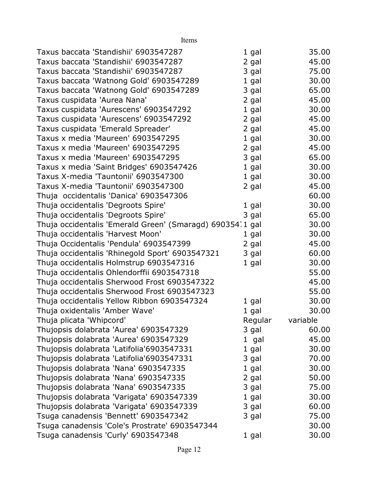| Items                                                     |         |          |
|-----------------------------------------------------------|---------|----------|
| Taxus baccata 'Standishii' 6903547287                     | 1 gal   | 35.00    |
| Taxus baccata 'Standishii' 6903547287                     | 2 gal   | 45.00    |
| Taxus baccata 'Standishii' 6903547287                     | 3 gal   | 75.00    |
| Taxus baccata 'Watnong Gold' 6903547289                   | 1 gal   | 30.00    |
| Taxus baccata 'Watnong Gold' 6903547289                   | 3 gal   | 65.00    |
| Taxus cuspidata 'Aurea Nana'                              | 2 gal   | 45.00    |
| Taxus cuspidata 'Aurescens' 6903547292                    | 1 gal   | 30.00    |
| Taxus cuspidata 'Aurescens' 6903547292                    | 2 gal   | 45.00    |
| Taxus cuspidata 'Emerald Spreader'                        | 2 gal   | 45.00    |
| Taxus x media 'Maureen' 6903547295                        | $1$ gal | 30.00    |
| Taxus x media 'Maureen' 6903547295                        | 2 gal   | 45.00    |
| Taxus x media 'Maureen' 6903547295                        | 3 gal   | 65.00    |
| Taxus x media 'Saint Bridges' 6903547426                  | $1$ gal | 30.00    |
| Taxus X-media 'Tauntonii' 6903547300                      | 1 gal   | 30.00    |
| Taxus X-media 'Tauntonii' 6903547300                      | 2 gal   | 45.00    |
| Thuja occidentalis 'Danica' 6903547306                    |         | 60.00    |
| Thuja occidentalis 'Degroots Spire'                       | 1 gal   | 30.00    |
| Thuja occidentalis 'Degroots Spire'                       | 3 gal   | 65.00    |
| Thuja occidentalis 'Emerald Green' (Smaragd) 690354.1 gal |         | 30.00    |
| Thuja occidentalis 'Harvest Moon'                         | 1 gal   | 30.00    |
| Thuja Occidentalis 'Pendula' 6903547399                   | 2 gal   | 45.00    |
| Thuja occidentalis 'Rhinegold Sport' 6903547321           | 3 gal   | 60.00    |
| Thuja occidentalis Holmstrup 6903547316                   | 1 gal   | 30.00    |
| Thuja occidentalis Ohlendorffii 6903547318                |         | 55.00    |
| Thuja occidentalis Sherwood Frost 6903547322              |         | 45.00    |
| Thuja occidentalis Sherwood Frost 6903547323              |         | 55.00    |
| Thuja occidentalis Yellow Ribbon 6903547324               | 1 gal   | 30.00    |
| Thuja oxidentalis 'Amber Wave'                            | 1 gal   | 30.00    |
| Thuja plicata 'Whipcord'                                  | Regular | variable |
| Thujopsis dolabrata 'Aurea' 6903547329                    | 3 gal   | 60.00    |
| Thujopsis dolabrata 'Aurea' 6903547329                    | 1 gal   | 45.00    |
| Thujopsis dolabrata 'Latifolia'6903547331                 | $1$ gal | 30.00    |
| Thujopsis dolabrata 'Latifolia'6903547331                 | 3 gal   | 70.00    |
| Thujopsis dolabrata 'Nana' 6903547335                     | 1 gal   | 30.00    |
| Thujopsis dolabrata 'Nana' 6903547335                     | 2 gal   | 50.00    |
| Thujopsis dolabrata 'Nana' 6903547335                     | 3 gal   | 75.00    |
| Thujopsis dolabrata 'Varigata' 6903547339                 | 1 gal   | 30.00    |
| Thujopsis dolabrata 'Varigata' 6903547339                 | 3 gal   | 60.00    |
| Tsuga canadensis 'Bennett' 6903547342                     | 3 gal   | 75.00    |
| Tsuga canadensis 'Cole's Prostrate' 6903547344            |         | 30.00    |
| Tsuga canadensis 'Curly' 6903547348                       | 1 gal   | 30.00    |